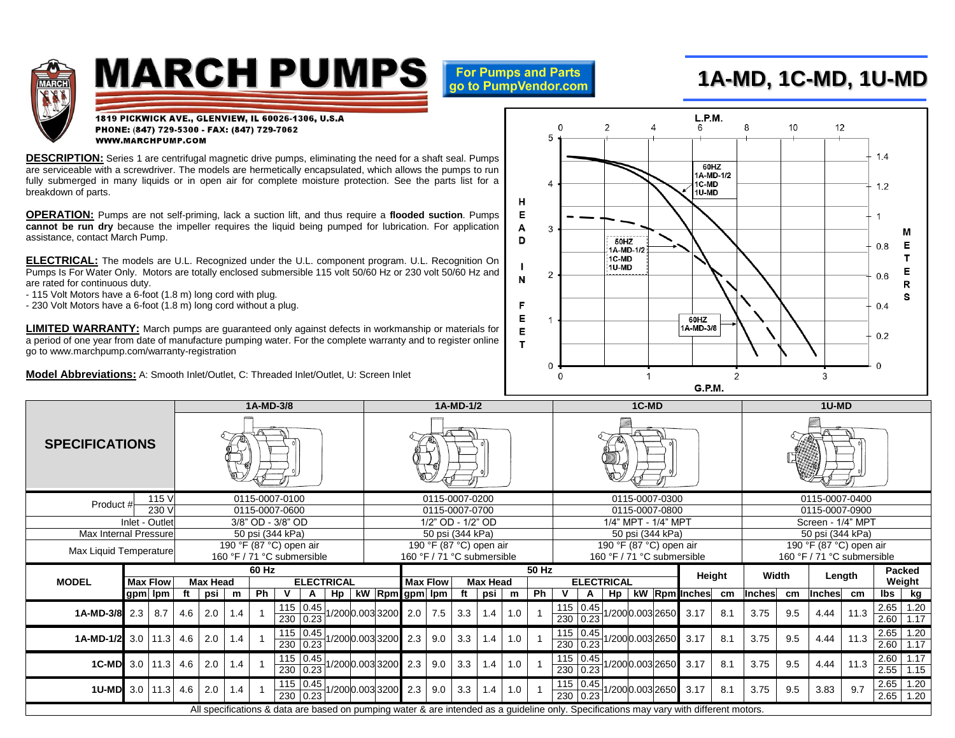

## **MARCH PUMPS**

**For Pumps and Parts** go to PumpVendor.com

## **1A-MD, 1C-MD, 1U-MD**

1819 PICKWICK AVE., GLENVIEW, IL 60026-1306, U.S.A PHONE: (847) 729-5300 - FAX: (847) 729-7062 **WWW.MARCHPUMP.COM** 

**DESCRIPTION:** Series 1 are centrifugal magnetic drive pumps, eliminating the need for a shaft seal. Pumps are serviceable with a screwdriver. The models are hermetically encapsulated, which allows the pumps to run fully submerged in many liquids or in open air for complete moisture protection. See the parts list for a breakdown of parts.

**OPERATION:** Pumps are not self-priming, lack a suction lift, and thus require a **flooded suction**. Pumps **cannot be run dry** because the impeller requires the liquid being pumped for lubrication. For application assistance, contact March Pump.

**ELECTRICAL:** The models are U.L. Recognized under the U.L. component program. U.L. Recognition On Pumps Is For Water Only. Motors are totally enclosed submersible 115 volt 50/60 Hz or 230 volt 50/60 Hz and are rated for continuous duty.

- 115 Volt Motors have a 6-foot (1.8 m) long cord with plug.

- 230 Volt Motors have a 6-foot (1.8 m) long cord without a plug.

**LIMITED WARRANTY:** March pumps are guaranteed only against defects in workmanship or materials for a period of one year from date of manufacture pumping water. For the complete warranty and to register online go to www.marchpump.com/warranty-registration

**Model Abbreviations:** A: Smooth Inlet/Outlet, C: Threaded Inlet/Outlet, U: Screen Inlet



|                        |                                     |              | 1A-MD-3/8 |                 |     |    |                   |                        |                                     |                | 1A-MD-1/2 |                 |     |     |                 |                            |                                       | 1C-MD             |                          |    |                 |                            |                                                                                                                                         |                | 1U-MD  |     |               |      |              |              |  |
|------------------------|-------------------------------------|--------------|-----------|-----------------|-----|----|-------------------|------------------------|-------------------------------------|----------------|-----------|-----------------|-----|-----|-----------------|----------------------------|---------------------------------------|-------------------|--------------------------|----|-----------------|----------------------------|-----------------------------------------------------------------------------------------------------------------------------------------|----------------|--------|-----|---------------|------|--------------|--------------|--|
| <b>SPECIFICATIONS</b>  |                                     |              |           |                 |     |    |                   |                        |                                     |                |           |                 |     |     |                 |                            |                                       |                   |                          |    |                 |                            |                                                                                                                                         |                |        |     |               |      |              |              |  |
| Product #              | 0115-0007-0100                      |              |           |                 |     |    |                   |                        | 0115-0007-0200                      |                |           |                 |     |     |                 |                            | 0115-0007-0300                        |                   |                          |    |                 |                            |                                                                                                                                         | 0115-0007-0400 |        |     |               |      |              |              |  |
| Inlet - Outlet         | 0115-0007-0600<br>3/8" OD - 3/8" OD |              |           |                 |     |    |                   |                        | 0115-0007-0700<br>1/2" OD - 1/2" OD |                |           |                 |     |     |                 |                            | 0115-0007-0800<br>1/4" MPT - 1/4" MPT |                   |                          |    |                 |                            | 0115-0007-0900<br>Screen - 1/4" MPT                                                                                                     |                |        |     |               |      |              |              |  |
| Max Internal Pressure  | 50 psi (344 kPa)                    |              |           |                 |     |    |                   |                        | 50 psi (344 kPa)                    |                |           |                 |     |     |                 |                            | 50 psi (344 kPa)                      |                   |                          |    |                 |                            | 50 psi (344 kPa)                                                                                                                        |                |        |     |               |      |              |              |  |
|                        | 190 °F (87 °C) open air             |              |           |                 |     |    |                   |                        | 190 °F (87 °C) open air             |                |           |                 |     |     |                 | 190 °F (87 °C) open air    |                                       |                   |                          |    |                 | 190 °F (87 °C) open air    |                                                                                                                                         |                |        |     |               |      |              |              |  |
| Max Liquid Temperature | 160 °F / 71 °C submersible          |              |           |                 |     |    |                   |                        | 160 °F / 71 °C submersible          |                |           |                 |     |     |                 | 160 °F / 71 °C submersible |                                       |                   |                          |    |                 | 160 °F / 71 °C submersible |                                                                                                                                         |                |        |     |               |      |              |              |  |
|                        |                                     |              | 60 Hz     |                 |     |    |                   |                        |                                     |                | 50 Hz     |                 |     |     |                 |                            |                                       |                   |                          |    |                 |                            | Height                                                                                                                                  |                | Width  |     | Length        |      | Packed       |              |  |
| <b>MODEL</b>           | <b>Max Flow</b>                     |              |           | <b>Max Head</b> |     |    | <b>ELECTRICAL</b> |                        |                                     |                |           | <b>Max Flow</b> |     |     | <b>Max Head</b> |                            |                                       | <b>ELECTRICAL</b> |                          |    |                 |                            |                                                                                                                                         |                |        |     | Weight        |      |              |              |  |
|                        | gpm   lpm                           |              | ft        | psi             | m   | Ph |                   | A                      | H <sub>p</sub>                      | kW             |           | Rpm gpm lpm     |     | ft  | psi             | m                          | Ph                                    | v                 | A                        | Hp |                 |                            | kW Rpm Inches                                                                                                                           | cm             | Inches | cm  | <b>Inches</b> | cm   | lbs          | kg           |  |
| 1A-MD-3/8              | 2.3                                 | 8.7          | 4.6       | 2.0             | 1.4 |    |                   | 115 0.45<br>230 0.23   |                                     | /2000.0033200  |           | 2.0             | 7.5 | 3.3 | 1.4             | 1.0                        |                                       |                   | $115$ 0.45<br>230   0.23 |    | /2000.0032650   |                            | 3.17                                                                                                                                    | 8.1            | 3.75   | 9.5 | 4.44          | 11.3 | 2.65<br>2.60 | 1.20<br>1.17 |  |
| 1A-MD-1/2              |                                     | $3.0$ 11.3   | 4.6       | 2.0             | 1.4 |    |                   | $115$ 0.45<br>230 0.23 |                                     | 1/2000.0033200 |           | 2.3             | 9.0 | 3.3 | 1.4             | 1.0                        |                                       |                   | 115 0.45<br>230   0.23   |    | 1/2000.0032650  |                            | 3.17                                                                                                                                    | 8.1            | 3.75   | 9.5 | 4.44          | 11.3 | 2.65<br>2.60 | 1.20<br>1.17 |  |
| 1C-MD                  |                                     | $3.0$ 11.3   | 4.6       | 2.0             | 1.4 |    |                   | 115 0.45<br>230 0.23   |                                     | 1/2000.0033200 |           | 2.3             | 9.0 | 3.3 | 1.4             | 1.0                        |                                       |                   | $115$ 0.45<br>230 0.23   |    | 1/2000.003 2650 |                            | 3.17                                                                                                                                    | 8.1            | 3.75   | 9.5 | 4.44          | 11.3 | 2.60<br>2.55 | 1.17<br>1.15 |  |
| 1U-MD                  |                                     | $3.0$   11.3 | 4.6       | 2.0             | 1.4 |    |                   | 115 0.45<br>230 0.23   |                                     | 1/2000.0033200 |           | 2.3             | 9.0 | 3.3 | 1.4             | 1.0                        |                                       |                   | 115 0.45<br>230 0.23     |    | 1/2000.003 2650 |                            | 3.17                                                                                                                                    | 8.1            | 3.75   | 9.5 | 3.83          | 9.7  | 2.65<br>2.65 | 1.20<br>1.20 |  |
|                        |                                     |              |           |                 |     |    |                   |                        |                                     |                |           |                 |     |     |                 |                            |                                       |                   |                          |    |                 |                            | All specifications & data are based on pumping water & are intended as a guideline only. Specifications may vary with different motors. |                |        |     |               |      |              |              |  |